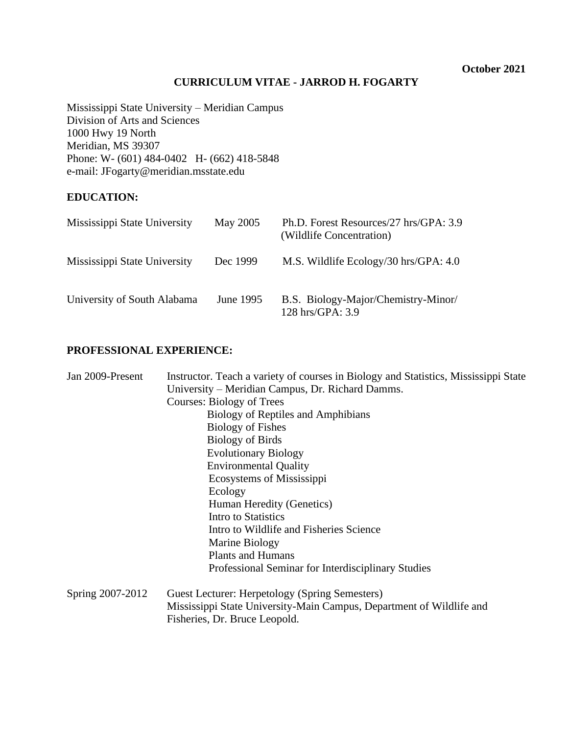# **CURRICULUM VITAE - JARROD H. FOGARTY**

Mississippi State University – Meridian Campus Division of Arts and Sciences 1000 Hwy 19 North Meridian, MS 39307 Phone: W- (601) 484-0402 H- (662) 418-5848 e-mail: JFogarty@meridian.msstate.edu

# **EDUCATION:**

| Mississippi State University | May 2005  | Ph.D. Forest Resources/27 hrs/GPA: 3.9<br>(Wildlife Concentration) |
|------------------------------|-----------|--------------------------------------------------------------------|
| Mississippi State University | Dec 1999  | M.S. Wildlife Ecology/30 hrs/GPA: 4.0                              |
| University of South Alabama  | June 1995 | B.S. Biology-Major/Chemistry-Minor/<br>128 hrs/GPA: 3.9            |

# **PROFESSIONAL EXPERIENCE:**

| Jan 2009-Present | Instructor. Teach a variety of courses in Biology and Statistics, Mississippi State |
|------------------|-------------------------------------------------------------------------------------|
|                  | University – Meridian Campus, Dr. Richard Damms.                                    |
|                  | Courses: Biology of Trees                                                           |
|                  | Biology of Reptiles and Amphibians                                                  |
|                  | <b>Biology of Fishes</b>                                                            |
|                  | <b>Biology of Birds</b>                                                             |
|                  | <b>Evolutionary Biology</b>                                                         |
|                  | <b>Environmental Quality</b>                                                        |
|                  | Ecosystems of Mississippi                                                           |
|                  | Ecology                                                                             |
|                  | Human Heredity (Genetics)                                                           |
|                  | Intro to Statistics                                                                 |
|                  | Intro to Wildlife and Fisheries Science                                             |
|                  | Marine Biology                                                                      |
|                  | <b>Plants and Humans</b>                                                            |
|                  | Professional Seminar for Interdisciplinary Studies                                  |
| Spring 2007-2012 | Guest Lecturer: Herpetology (Spring Semesters)                                      |
|                  | Mississippi State University-Main Campus, Department of Wildlife and                |
|                  | Fisheries, Dr. Bruce Leopold.                                                       |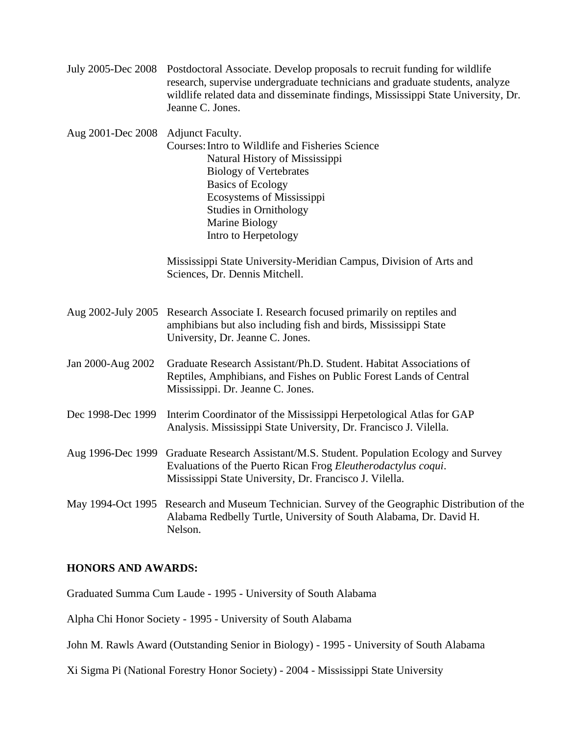| July 2005-Dec 2008 Postdoctoral Associate. Develop proposals to recruit funding for wildlife |
|----------------------------------------------------------------------------------------------|
| research, supervise undergraduate technicians and graduate students, analyze                 |
| wildlife related data and disseminate findings, Mississippi State University, Dr.            |
| Jeanne C. Jones.                                                                             |

Aug 2001-Dec 2008 Adjunct Faculty. Courses:Intro to Wildlife and Fisheries Science Natural History of Mississippi Biology of Vertebrates Basics of Ecology Ecosystems of Mississippi Studies in Ornithology Marine Biology Intro to Herpetology

> Mississippi State University-Meridian Campus, Division of Arts and Sciences, Dr. Dennis Mitchell.

- Aug 2002-July 2005 Research Associate I. Research focused primarily on reptiles and amphibians but also including fish and birds, Mississippi State University, Dr. Jeanne C. Jones.
- Jan 2000-Aug 2002 Graduate Research Assistant/Ph.D. Student. Habitat Associations of Reptiles, Amphibians, and Fishes on Public Forest Lands of Central Mississippi. Dr. Jeanne C. Jones.
- Dec 1998-Dec 1999 Interim Coordinator of the Mississippi Herpetological Atlas for GAP Analysis. Mississippi State University, Dr. Francisco J. Vilella.
- Aug 1996-Dec 1999 Graduate Research Assistant/M.S. Student. Population Ecology and Survey Evaluations of the Puerto Rican Frog *Eleutherodactylus coqui*. Mississippi State University, Dr. Francisco J. Vilella.

May 1994-Oct 1995 Research and Museum Technician. Survey of the Geographic Distribution of the Alabama Redbelly Turtle, University of South Alabama, Dr. David H. Nelson.

## **HONORS AND AWARDS:**

Graduated Summa Cum Laude - 1995 - University of South Alabama

Alpha Chi Honor Society - 1995 - University of South Alabama

John M. Rawls Award (Outstanding Senior in Biology) - 1995 - University of South Alabama

Xi Sigma Pi (National Forestry Honor Society) - 2004 - Mississippi State University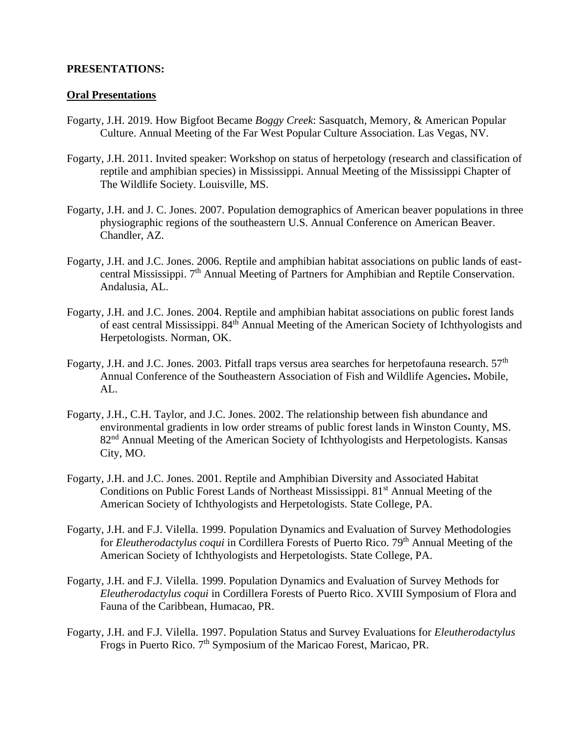## **PRESENTATIONS:**

#### **Oral Presentations**

- Fogarty, J.H. 2019. How Bigfoot Became *Boggy Creek*: Sasquatch, Memory, & American Popular Culture. Annual Meeting of the Far West Popular Culture Association. Las Vegas, NV.
- Fogarty, J.H. 2011. Invited speaker: Workshop on status of herpetology (research and classification of reptile and amphibian species) in Mississippi. Annual Meeting of the Mississippi Chapter of The Wildlife Society. Louisville, MS.
- Fogarty, J.H. and J. C. Jones. 2007. Population demographics of American beaver populations in three physiographic regions of the southeastern U.S. Annual Conference on American Beaver. Chandler, AZ.
- Fogarty, J.H. and J.C. Jones. 2006. Reptile and amphibian habitat associations on public lands of eastcentral Mississippi. 7<sup>th</sup> Annual Meeting of Partners for Amphibian and Reptile Conservation. Andalusia, AL.
- Fogarty, J.H. and J.C. Jones. 2004. Reptile and amphibian habitat associations on public forest lands of east central Mississippi. 84th Annual Meeting of the American Society of Ichthyologists and Herpetologists. Norman, OK.
- Fogarty, J.H. and J.C. Jones. 2003. Pitfall traps versus area searches for herpetofauna research. 57<sup>th</sup> Annual Conference of the Southeastern Association of Fish and Wildlife Agencies**.** Mobile,  $AI<sub>1</sub>$ .
- Fogarty, J.H., C.H. Taylor, and J.C. Jones. 2002. The relationship between fish abundance and environmental gradients in low order streams of public forest lands in Winston County, MS. 82<sup>nd</sup> Annual Meeting of the American Society of Ichthyologists and Herpetologists. Kansas City, MO.
- Fogarty, J.H. and J.C. Jones. 2001. Reptile and Amphibian Diversity and Associated Habitat Conditions on Public Forest Lands of Northeast Mississippi. 81<sup>st</sup> Annual Meeting of the American Society of Ichthyologists and Herpetologists. State College, PA.
- Fogarty, J.H. and F.J. Vilella. 1999. Population Dynamics and Evaluation of Survey Methodologies for *Eleutherodactylus coqui* in Cordillera Forests of Puerto Rico. 79th Annual Meeting of the American Society of Ichthyologists and Herpetologists. State College, PA.
- Fogarty, J.H. and F.J. Vilella. 1999. Population Dynamics and Evaluation of Survey Methods for *Eleutherodactylus coqui* in Cordillera Forests of Puerto Rico. XVIII Symposium of Flora and Fauna of the Caribbean, Humacao, PR.
- Fogarty, J.H. and F.J. Vilella. 1997. Population Status and Survey Evaluations for *Eleutherodactylus* Frogs in Puerto Rico. 7<sup>th</sup> Symposium of the Maricao Forest, Maricao, PR.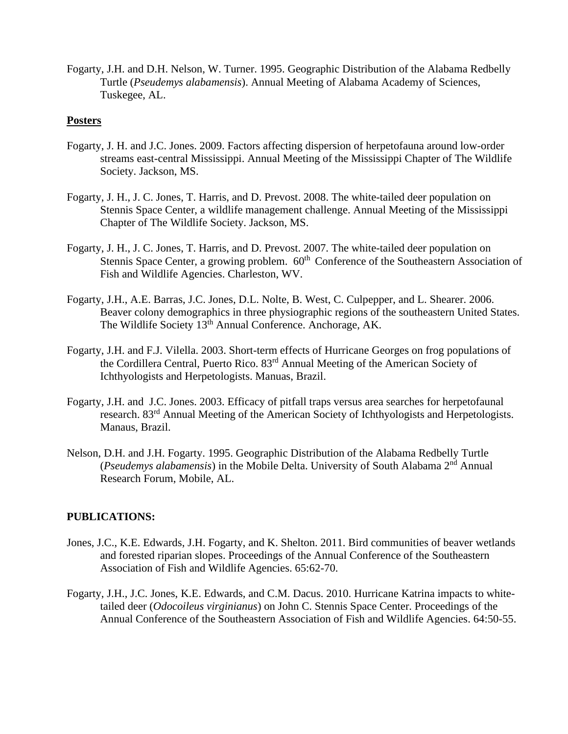Fogarty, J.H. and D.H. Nelson, W. Turner. 1995. Geographic Distribution of the Alabama Redbelly Turtle (*Pseudemys alabamensis*). Annual Meeting of Alabama Academy of Sciences, Tuskegee, AL.

### **Posters**

- Fogarty, J. H. and J.C. Jones. 2009. Factors affecting dispersion of herpetofauna around low-order streams east-central Mississippi. Annual Meeting of the Mississippi Chapter of The Wildlife Society. Jackson, MS.
- Fogarty, J. H., J. C. Jones, T. Harris, and D. Prevost. 2008. The white-tailed deer population on Stennis Space Center, a wildlife management challenge. Annual Meeting of the Mississippi Chapter of The Wildlife Society. Jackson, MS.
- Fogarty, J. H., J. C. Jones, T. Harris, and D. Prevost. 2007. The white-tailed deer population on Stennis Space Center, a growing problem.  $60<sup>th</sup>$  Conference of the Southeastern Association of Fish and Wildlife Agencies. Charleston, WV.
- Fogarty, J.H., A.E. Barras, J.C. Jones, D.L. Nolte, B. West, C. Culpepper, and L. Shearer. 2006. Beaver colony demographics in three physiographic regions of the southeastern United States. The Wildlife Society 13th Annual Conference. Anchorage, AK.
- Fogarty, J.H. and F.J. Vilella. 2003. Short-term effects of Hurricane Georges on frog populations of the Cordillera Central, Puerto Rico. 83rd Annual Meeting of the American Society of Ichthyologists and Herpetologists. Manuas, Brazil.
- Fogarty, J.H. and J.C. Jones. 2003. Efficacy of pitfall traps versus area searches for herpetofaunal research. 83rd Annual Meeting of the American Society of Ichthyologists and Herpetologists. Manaus, Brazil.
- Nelson, D.H. and J.H. Fogarty. 1995. Geographic Distribution of the Alabama Redbelly Turtle (*Pseudemys alabamensis*) in the Mobile Delta. University of South Alabama 2nd Annual Research Forum, Mobile, AL.

## **PUBLICATIONS:**

- Jones, J.C., K.E. Edwards, J.H. Fogarty, and K. Shelton. 2011. Bird communities of beaver wetlands and forested riparian slopes. Proceedings of the Annual Conference of the Southeastern Association of Fish and Wildlife Agencies. 65:62-70.
- Fogarty, J.H., J.C. Jones, K.E. Edwards, and C.M. Dacus. 2010. Hurricane Katrina impacts to whitetailed deer (*Odocoileus virginianus*) on John C. Stennis Space Center. Proceedings of the Annual Conference of the Southeastern Association of Fish and Wildlife Agencies. 64:50-55.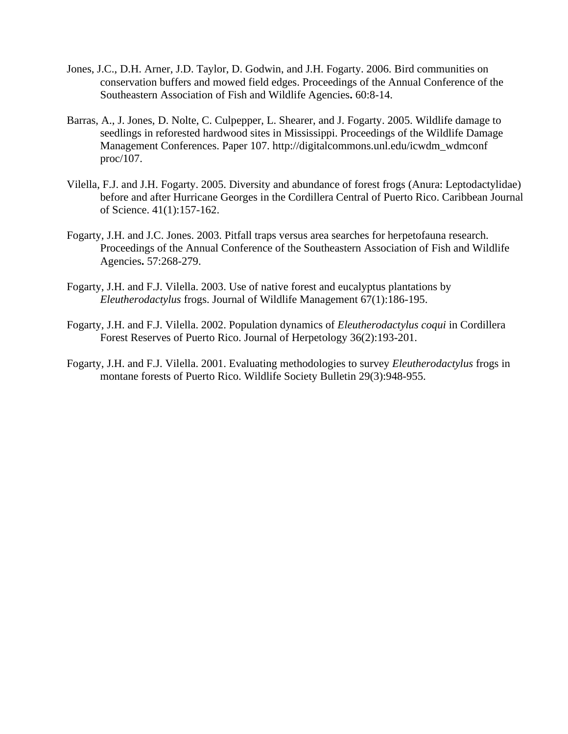- Jones, J.C., D.H. Arner, J.D. Taylor, D. Godwin, and J.H. Fogarty. 2006. Bird communities on conservation buffers and mowed field edges. Proceedings of the Annual Conference of the Southeastern Association of Fish and Wildlife Agencies**.** 60:8-14.
- Barras, A., J. Jones, D. Nolte, C. Culpepper, L. Shearer, and J. Fogarty. 2005. Wildlife damage to seedlings in reforested hardwood sites in Mississippi. Proceedings of the Wildlife Damage Management Conferences. Paper 107. http://digitalcommons.unl.edu/icwdm\_wdmconf proc/107.
- Vilella, F.J. and J.H. Fogarty. 2005. Diversity and abundance of forest frogs (Anura: Leptodactylidae) before and after Hurricane Georges in the Cordillera Central of Puerto Rico. Caribbean Journal of Science. 41(1):157-162.
- Fogarty, J.H. and J.C. Jones. 2003. Pitfall traps versus area searches for herpetofauna research. Proceedings of the Annual Conference of the Southeastern Association of Fish and Wildlife Agencies**.** 57:268-279.
- Fogarty, J.H. and F.J. Vilella. 2003. Use of native forest and eucalyptus plantations by *Eleutherodactylus* frogs. Journal of Wildlife Management 67(1):186-195.
- Fogarty, J.H. and F.J. Vilella. 2002. Population dynamics of *Eleutherodactylus coqui* in Cordillera Forest Reserves of Puerto Rico. Journal of Herpetology 36(2):193-201.
- Fogarty, J.H. and F.J. Vilella. 2001. Evaluating methodologies to survey *Eleutherodactylus* frogs in montane forests of Puerto Rico. Wildlife Society Bulletin 29(3):948-955.